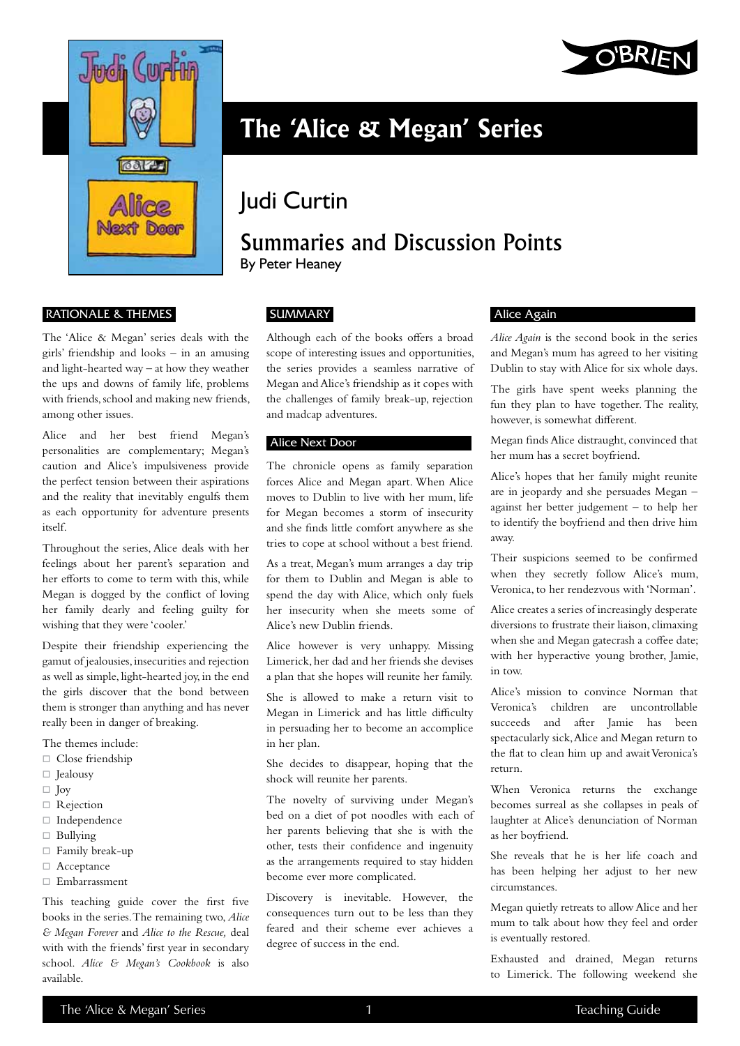

#### Rationale & Themes

The 'Alice & Megan' series deals with the girls' friendship and looks – in an amusing and light-hearted way – at how they weather the ups and downs of family life, problems with friends, school and making new friends, among other issues.

Alice and her best friend Megan's personalities are complementary; Megan's caution and Alice's impulsiveness provide the perfect tension between their aspirations and the reality that inevitably engulfs them as each opportunity for adventure presents itself.

Throughout the series, Alice deals with her feelings about her parent's separation and her efforts to come to term with this, while Megan is dogged by the conflict of loving her family dearly and feeling guilty for wishing that they were 'cooler.'

Despite their friendship experiencing the gamut of jealousies, insecurities and rejection as well as simple, light-hearted joy, in the end the girls discover that the bond between them is stronger than anything and has never really been in danger of breaking.

The themes include:

- □ Close friendship
- Jealousy
- $\Box$  Joy
- □ Rejection
- Independence
- $\Box$  Bullying
- Family break-up
- □ Acceptance
- Embarrassment

This teaching guide cover the first five books in the series. The remaining two, *Alice & Megan Forever* and *Alice to the Rescue,* deal with with the friends' first year in secondary school. *Alice & Megan's Cookbook* is also available.



# **The 'Alice & Megan' Series**

## Judi Curtin

### Summaries and Discussion Points By Peter Heaney

**SUMMARY** 

Although each of the books offers a broad scope of interesting issues and opportunities, the series provides a seamless narrative of Megan and Alice's friendship as it copes with the challenges of family break-up, rejection and madcap adventures.

#### Alice Next Door

The chronicle opens as family separation forces Alice and Megan apart. When Alice moves to Dublin to live with her mum, life for Megan becomes a storm of insecurity and she finds little comfort anywhere as she tries to cope at school without a best friend.

As a treat, Megan's mum arranges a day trip for them to Dublin and Megan is able to spend the day with Alice, which only fuels her insecurity when she meets some of Alice's new Dublin friends.

Alice however is very unhappy. Missing Limerick, her dad and her friends she devises a plan that she hopes will reunite her family.

She is allowed to make a return visit to Megan in Limerick and has little difficulty in persuading her to become an accomplice in her plan.

She decides to disappear, hoping that the shock will reunite her parents.

The novelty of surviving under Megan's bed on a diet of pot noodles with each of her parents believing that she is with the other, tests their confidence and ingenuity as the arrangements required to stay hidden become ever more complicated.

Discovery is inevitable. However, the consequences turn out to be less than they feared and their scheme ever achieves a degree of success in the end.

#### Alice Again

*Alice Again* is the second book in the series and Megan's mum has agreed to her visiting Dublin to stay with Alice for six whole days.

The girls have spent weeks planning the fun they plan to have together. The reality, however, is somewhat different.

Megan finds Alice distraught, convinced that her mum has a secret boyfriend.

Alice's hopes that her family might reunite are in jeopardy and she persuades Megan – against her better judgement – to help her to identify the boyfriend and then drive him away.

Their suspicions seemed to be confirmed when they secretly follow Alice's mum, Veronica, to her rendezvous with 'Norman'.

Alice creates a series of increasingly desperate diversions to frustrate their liaison, climaxing when she and Megan gatecrash a coffee date; with her hyperactive young brother, Jamie, in tow.

Alice's mission to convince Norman that Veronica's children are uncontrollable succeeds and after Jamie has been spectacularly sick, Alice and Megan return to the flat to clean him up and await Veronica's return.

When Veronica returns the exchange becomes surreal as she collapses in peals of laughter at Alice's denunciation of Norman as her boyfriend.

She reveals that he is her life coach and has been helping her adjust to her new circumstances.

Megan quietly retreats to allow Alice and her mum to talk about how they feel and order is eventually restored.

Exhausted and drained, Megan returns to Limerick. The following weekend she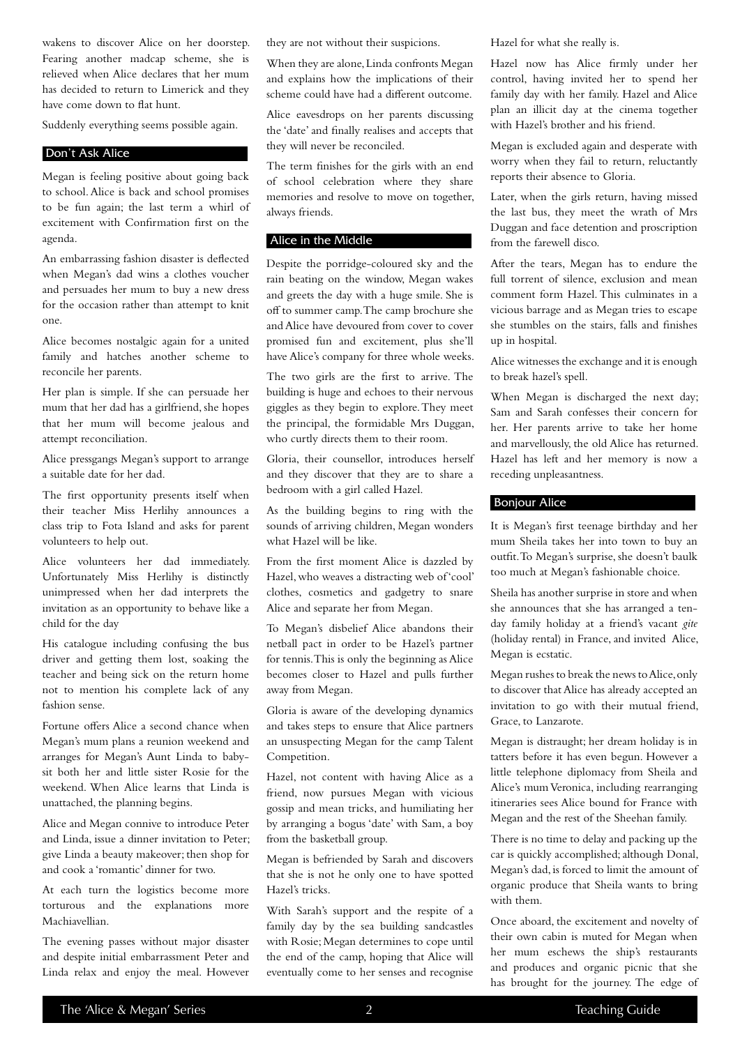wakens to discover Alice on her doorstep. Fearing another madcap scheme, she is relieved when Alice declares that her mum has decided to return to Limerick and they have come down to flat hunt.

Suddenly everything seems possible again.

#### Don't Ask Alice

Megan is feeling positive about going back to school. Alice is back and school promises to be fun again; the last term a whirl of excitement with Confirmation first on the agenda.

An embarrassing fashion disaster is deflected when Megan's dad wins a clothes voucher and persuades her mum to buy a new dress for the occasion rather than attempt to knit one.

Alice becomes nostalgic again for a united family and hatches another scheme to reconcile her parents.

Her plan is simple. If she can persuade her mum that her dad has a girlfriend, she hopes that her mum will become jealous and attempt reconciliation.

Alice pressgangs Megan's support to arrange a suitable date for her dad.

The first opportunity presents itself when their teacher Miss Herlihy announces a class trip to Fota Island and asks for parent volunteers to help out.

Alice volunteers her dad immediately. Unfortunately Miss Herlihy is distinctly unimpressed when her dad interprets the invitation as an opportunity to behave like a child for the day

His catalogue including confusing the bus driver and getting them lost, soaking the teacher and being sick on the return home not to mention his complete lack of any fashion sense.

Fortune offers Alice a second chance when Megan's mum plans a reunion weekend and arranges for Megan's Aunt Linda to babysit both her and little sister Rosie for the weekend. When Alice learns that Linda is unattached, the planning begins.

Alice and Megan connive to introduce Peter and Linda, issue a dinner invitation to Peter; give Linda a beauty makeover; then shop for and cook a 'romantic' dinner for two.

At each turn the logistics become more torturous and the explanations more Machiavellian.

The evening passes without major disaster and despite initial embarrassment Peter and Linda relax and enjoy the meal. However they are not without their suspicions.

When they are alone, Linda confronts Megan and explains how the implications of their scheme could have had a different outcome.

Alice eavesdrops on her parents discussing the 'date' and finally realises and accepts that they will never be reconciled.

The term finishes for the girls with an end of school celebration where they share memories and resolve to move on together, always friends.

#### Alice in the Middle

Despite the porridge-coloured sky and the rain beating on the window, Megan wakes and greets the day with a huge smile. She is off to summer camp. The camp brochure she and Alice have devoured from cover to cover promised fun and excitement, plus she'll have Alice's company for three whole weeks.

The two girls are the first to arrive. The building is huge and echoes to their nervous giggles as they begin to explore. They meet the principal, the formidable Mrs Duggan, who curtly directs them to their room.

Gloria, their counsellor, introduces herself and they discover that they are to share a bedroom with a girl called Hazel.

As the building begins to ring with the sounds of arriving children, Megan wonders what Hazel will be like.

From the first moment Alice is dazzled by Hazel, who weaves a distracting web of 'cool' clothes, cosmetics and gadgetry to snare Alice and separate her from Megan.

To Megan's disbelief Alice abandons their netball pact in order to be Hazel's partner for tennis. This is only the beginning as Alice becomes closer to Hazel and pulls further away from Megan.

Gloria is aware of the developing dynamics and takes steps to ensure that Alice partners an unsuspecting Megan for the camp Talent Competition.

Hazel, not content with having Alice as a friend, now pursues Megan with vicious gossip and mean tricks, and humiliating her by arranging a bogus 'date' with Sam, a boy from the basketball group.

Megan is befriended by Sarah and discovers that she is not he only one to have spotted Hazel's tricks.

With Sarah's support and the respite of a family day by the sea building sandcastles with Rosie; Megan determines to cope until the end of the camp, hoping that Alice will eventually come to her senses and recognise

Hazel for what she really is.

Hazel now has Alice firmly under her control, having invited her to spend her family day with her family. Hazel and Alice plan an illicit day at the cinema together with Hazel's brother and his friend.

Megan is excluded again and desperate with worry when they fail to return, reluctantly reports their absence to Gloria.

Later, when the girls return, having missed the last bus, they meet the wrath of Mrs Duggan and face detention and proscription from the farewell disco.

After the tears, Megan has to endure the full torrent of silence, exclusion and mean comment form Hazel. This culminates in a vicious barrage and as Megan tries to escape she stumbles on the stairs, falls and finishes up in hospital.

Alice witnesses the exchange and it is enough to break hazel's spell.

When Megan is discharged the next day; Sam and Sarah confesses their concern for her. Her parents arrive to take her home and marvellously, the old Alice has returned. Hazel has left and her memory is now a receding unpleasantness.

#### Bonjour Alice

It is Megan's first teenage birthday and her mum Sheila takes her into town to buy an outfit. To Megan's surprise, she doesn't baulk too much at Megan's fashionable choice.

Sheila has another surprise in store and when she announces that she has arranged a tenday family holiday at a friend's vacant *gite*  (holiday rental) in France, and invited Alice, Megan is ecstatic.

Megan rushes to break the news to Alice, only to discover that Alice has already accepted an invitation to go with their mutual friend, Grace, to Lanzarote.

Megan is distraught; her dream holiday is in tatters before it has even begun. However a little telephone diplomacy from Sheila and Alice's mum Veronica, including rearranging itineraries sees Alice bound for France with Megan and the rest of the Sheehan family.

There is no time to delay and packing up the car is quickly accomplished; although Donal, Megan's dad, is forced to limit the amount of organic produce that Sheila wants to bring with them.

Once aboard, the excitement and novelty of their own cabin is muted for Megan when her mum eschews the ship's restaurants and produces and organic picnic that she has brought for the journey. The edge of